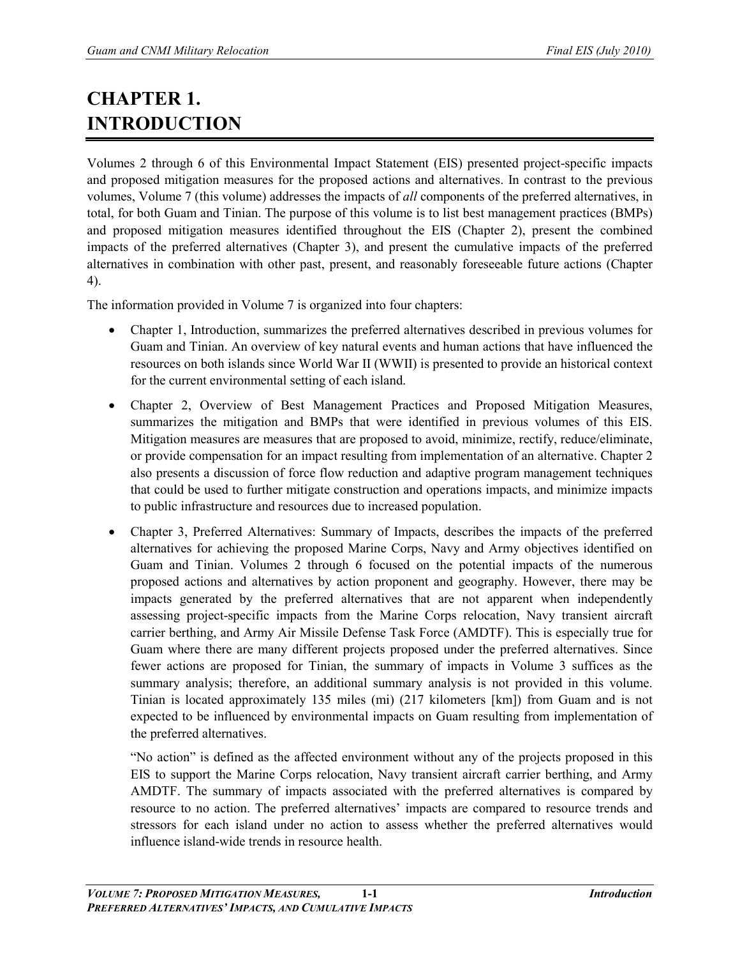# **CHAPTER 1. INTRODUCTION**

Volumes 2 through 6 of this Environmental Impact Statement (EIS) presented project-specific impacts and proposed mitigation measures for the proposed actions and alternatives. In contrast to the previous volumes, Volume 7 (this volume) addresses the impacts of *all* components of the preferred alternatives, in total, for both Guam and Tinian. The purpose of this volume is to list best management practices (BMPs) and proposed mitigation measures identified throughout the EIS (Chapter 2), present the combined impacts of the preferred alternatives (Chapter 3), and present the cumulative impacts of the preferred alternatives in combination with other past, present, and reasonably foreseeable future actions (Chapter 4).

The information provided in Volume 7 is organized into four chapters:

- Chapter 1, Introduction, summarizes the preferred alternatives described in previous volumes for Guam and Tinian. An overview of key natural events and human actions that have influenced the resources on both islands since World War II (WWII) is presented to provide an historical context for the current environmental setting of each island.
- Chapter 2, Overview of Best Management Practices and Proposed Mitigation Measures, summarizes the mitigation and BMPs that were identified in previous volumes of this EIS. Mitigation measures are measures that are proposed to avoid, minimize, rectify, reduce/eliminate, or provide compensation for an impact resulting from implementation of an alternative. Chapter 2 also presents a discussion of force flow reduction and adaptive program management techniques that could be used to further mitigate construction and operations impacts, and minimize impacts to public infrastructure and resources due to increased population.
- Chapter 3, Preferred Alternatives: Summary of Impacts, describes the impacts of the preferred alternatives for achieving the proposed Marine Corps, Navy and Army objectives identified on Guam and Tinian. Volumes 2 through 6 focused on the potential impacts of the numerous proposed actions and alternatives by action proponent and geography. However, there may be impacts generated by the preferred alternatives that are not apparent when independently assessing project-specific impacts from the Marine Corps relocation, Navy transient aircraft carrier berthing, and Army Air Missile Defense Task Force (AMDTF). This is especially true for Guam where there are many different projects proposed under the preferred alternatives. Since fewer actions are proposed for Tinian, the summary of impacts in Volume 3 suffices as the summary analysis; therefore, an additional summary analysis is not provided in this volume. Tinian is located approximately 135 miles (mi) (217 kilometers [km]) from Guam and is not expected to be influenced by environmental impacts on Guam resulting from implementation of the preferred alternatives.

"No action" is defined as the affected environment without any of the projects proposed in this EIS to support the Marine Corps relocation, Navy transient aircraft carrier berthing, and Army AMDTF. The summary of impacts associated with the preferred alternatives is compared by resource to no action. The preferred alternatives' impacts are compared to resource trends and stressors for each island under no action to assess whether the preferred alternatives would influence island-wide trends in resource health.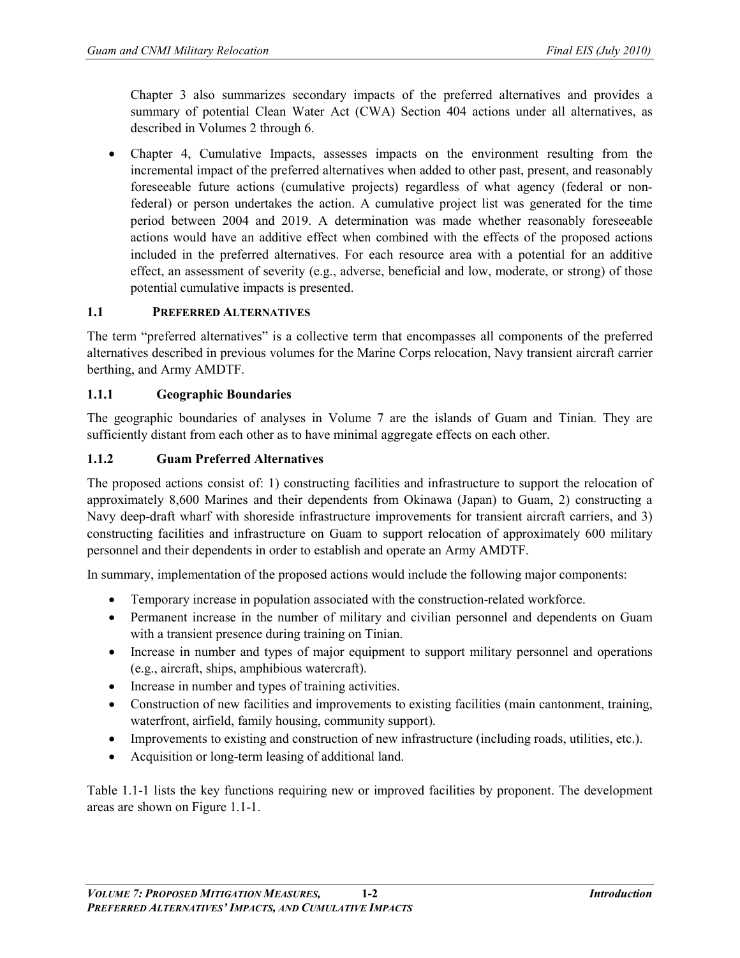Chapter 3 also summarizes secondary impacts of the preferred alternatives and provides a summary of potential Clean Water Act (CWA) Section 404 actions under all alternatives, as described in Volumes 2 through 6.

• Chapter 4, Cumulative Impacts, assesses impacts on the environment resulting from the incremental impact of the preferred alternatives when added to other past, present, and reasonably foreseeable future actions (cumulative projects) regardless of what agency (federal or nonfederal) or person undertakes the action. A cumulative project list was generated for the time period between 2004 and 2019. A determination was made whether reasonably foreseeable actions would have an additive effect when combined with the effects of the proposed actions included in the preferred alternatives. For each resource area with a potential for an additive effect, an assessment of severity (e.g., adverse, beneficial and low, moderate, or strong) of those potential cumulative impacts is presented.

## **1.1 PREFERRED ALTERNATIVES**

The term "preferred alternatives" is a collective term that encompasses all components of the preferred alternatives described in previous volumes for the Marine Corps relocation, Navy transient aircraft carrier berthing, and Army AMDTF.

#### **1.1.1 Geographic Boundaries**

The geographic boundaries of analyses in Volume 7 are the islands of Guam and Tinian. They are sufficiently distant from each other as to have minimal aggregate effects on each other.

#### **1.1.2 Guam Preferred Alternatives**

The proposed actions consist of: 1) constructing facilities and infrastructure to support the relocation of approximately 8,600 Marines and their dependents from Okinawa (Japan) to Guam, 2) constructing a Navy deep-draft wharf with shoreside infrastructure improvements for transient aircraft carriers, and 3) constructing facilities and infrastructure on Guam to support relocation of approximately 600 military personnel and their dependents in order to establish and operate an Army AMDTF.

In summary, implementation of the proposed actions would include the following major components:

- Temporary increase in population associated with the construction-related workforce.
- Permanent increase in the number of military and civilian personnel and dependents on Guam with a transient presence during training on Tinian.
- Increase in number and types of major equipment to support military personnel and operations (e.g., aircraft, ships, amphibious watercraft).
- Increase in number and types of training activities.
- Construction of new facilities and improvements to existing facilities (main cantonment, training, waterfront, airfield, family housing, community support).
- Improvements to existing and construction of new infrastructure (including roads, utilities, etc.).
- Acquisition or long-term leasing of additional land.

Table 1.1-1 lists the key functions requiring new or improved facilities by proponent. The development areas are shown on Figure 1.1-1.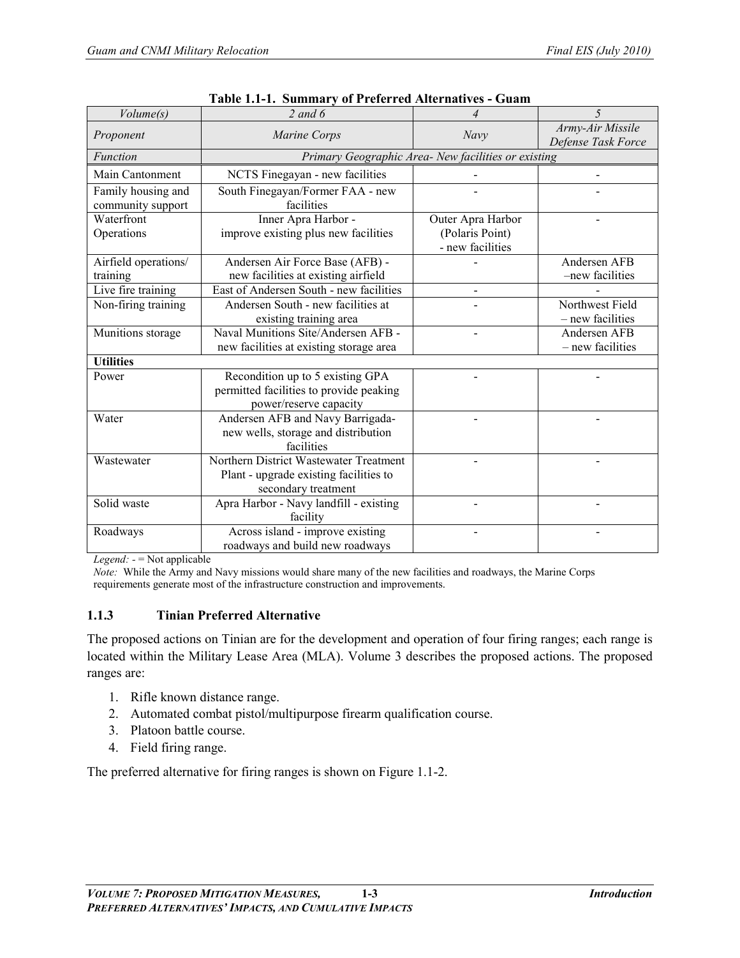| Volume(s)                               | $2$ and $6$                                                                                             | $\overline{4}$                                           | 5                                      |  |  |
|-----------------------------------------|---------------------------------------------------------------------------------------------------------|----------------------------------------------------------|----------------------------------------|--|--|
| Proponent                               | Marine Corps                                                                                            | Navy                                                     | Army-Air Missile<br>Defense Task Force |  |  |
| Function                                | Primary Geographic Area- New facilities or existing                                                     |                                                          |                                        |  |  |
| Main Cantonment                         | NCTS Finegayan - new facilities                                                                         |                                                          |                                        |  |  |
| Family housing and<br>community support | South Finegayan/Former FAA - new<br>facilities                                                          |                                                          |                                        |  |  |
| Waterfront<br>Operations                | Inner Apra Harbor -<br>improve existing plus new facilities                                             | Outer Apra Harbor<br>(Polaris Point)<br>- new facilities |                                        |  |  |
| Airfield operations/<br>training        | Andersen Air Force Base (AFB) -<br>new facilities at existing airfield                                  |                                                          | Andersen AFB<br>-new facilities        |  |  |
| Live fire training                      | East of Andersen South - new facilities                                                                 |                                                          |                                        |  |  |
| Non-firing training                     | Andersen South - new facilities at<br>existing training area                                            |                                                          | Northwest Field<br>- new facilities    |  |  |
| Munitions storage                       | Naval Munitions Site/Andersen AFB -<br>new facilities at existing storage area                          |                                                          | Andersen AFB<br>- new facilities       |  |  |
| <b>Utilities</b>                        |                                                                                                         |                                                          |                                        |  |  |
| Power                                   | Recondition up to 5 existing GPA<br>permitted facilities to provide peaking<br>power/reserve capacity   |                                                          |                                        |  |  |
| Water                                   | Andersen AFB and Navy Barrigada-<br>new wells, storage and distribution<br>facilities                   |                                                          |                                        |  |  |
| Wastewater                              | Northern District Wastewater Treatment<br>Plant - upgrade existing facilities to<br>secondary treatment |                                                          |                                        |  |  |
| Solid waste                             | Apra Harbor - Navy landfill - existing<br>facility                                                      |                                                          |                                        |  |  |
| Roadways                                | Across island - improve existing<br>roadways and build new roadways                                     |                                                          |                                        |  |  |

|  |  |  | Table 1.1-1. Summary of Preferred Alternatives - Guam |  |
|--|--|--|-------------------------------------------------------|--|
|--|--|--|-------------------------------------------------------|--|

*Legend: -* = Not applicable

*Note:* While the Army and Navy missions would share many of the new facilities and roadways, the Marine Corps requirements generate most of the infrastructure construction and improvements.

# **1.1.3 Tinian Preferred Alternative**

The proposed actions on Tinian are for the development and operation of four firing ranges; each range is located within the Military Lease Area (MLA). Volume 3 describes the proposed actions. The proposed ranges are:

- 1. Rifle known distance range.
- 2. Automated combat pistol/multipurpose firearm qualification course.
- 3. Platoon battle course.
- 4. Field firing range.

The preferred alternative for firing ranges is shown on Figure 1.1-2.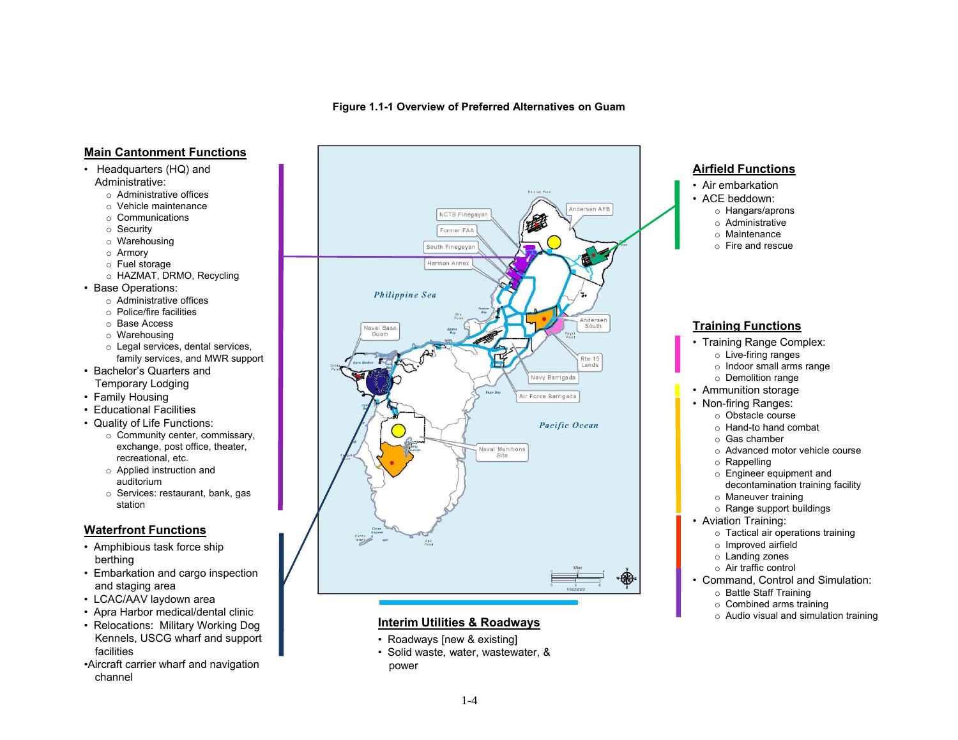**Figure 1.1-1 Overview of Preferred Alternatives on Guam**

#### **Main Cantonment Functions**

- Headquarters (HQ) and Administrative:
	- o Administrative offices
	- o Vehicle maintenance
	- o Communications
	- o Security
	- o Warehousing
	- o Armory
	-
	- o Fuel storage o HAZMAT, DRMO, Recycling
- • Base Operations:
	- o Administrative offices
	- o Police/fire facilities
	- o Base Access
	- o Warehousing
	- o Legal services, dental services, family services, and MWR support
- Bachelor's Quarters and Temporary Lodging
- Family Housing
- Educational Facilities
- Quality of Life Functions:
	- o Community center, commissary, exchange, post office, theater, recreational, etc.
	- o Applied instruction and auditorium
	- o Services: restaurant, bank, gas station

#### **Waterfront Functions**

- Amphibious task force ship berthing
- Embarkation and cargo inspection and staging area
- LCAC/AAV laydown area
- Apra Harbor medical/dental clinic
- Relocations: Military Working Dog Kennels, USCG wharf and support **facilities**
- •Aircraft carrier wharf and navigation channel



#### **Interim Utilities & Roadways**

- Roadways [new & existing]
- Solid waste, water, wastewater, & power



- **Combined arms training** the combined arms training the combined arms training the combined arms training
	- Audio visual and simul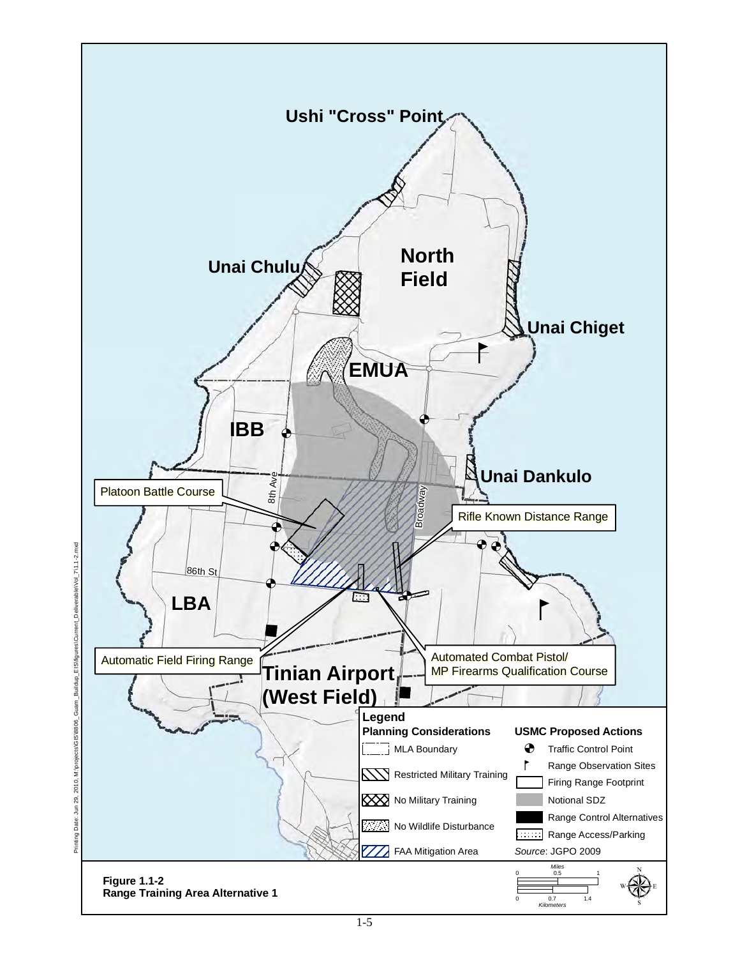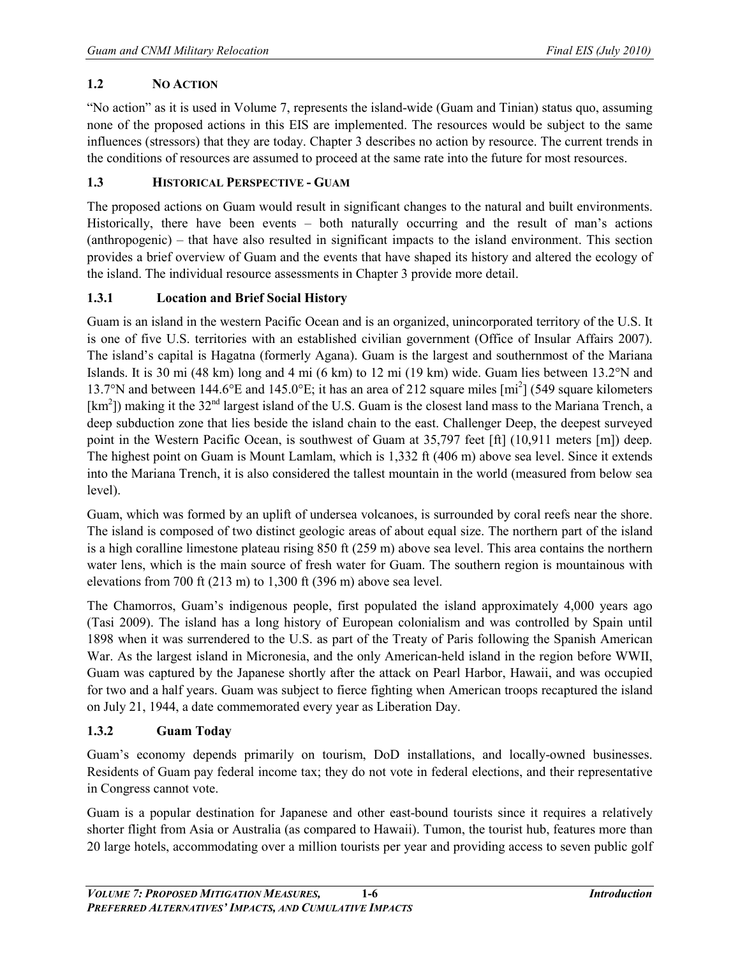# **1.2 NO ACTION**

"No action" as it is used in Volume 7, represents the island-wide (Guam and Tinian) status quo, assuming none of the proposed actions in this EIS are implemented. The resources would be subject to the same influences (stressors) that they are today. Chapter 3 describes no action by resource. The current trends in the conditions of resources are assumed to proceed at the same rate into the future for most resources.

# **1.3 HISTORICAL PERSPECTIVE - GUAM**

The proposed actions on Guam would result in significant changes to the natural and built environments. Historically, there have been events – both naturally occurring and the result of man's actions (anthropogenic) – that have also resulted in significant impacts to the island environment. This section provides a brief overview of Guam and the events that have shaped its history and altered the ecology of the island. The individual resource assessments in Chapter 3 provide more detail.

# **1.3.1 Location and Brief Social History**

Guam is an island in the western Pacific Ocean and is an organized, unincorporated territory of the U.S. It is one of five U.S. territories with an established civilian government (Office of Insular Affairs 2007). The island's capital is Hagatna (formerly Agana). Guam is the largest and southernmost of the Mariana Islands. It is 30 mi (48 km) long and 4 mi (6 km) to 12 mi (19 km) wide. Guam lies between 13.2°N and 13.7°N and between 144.6°E and 145.0°E; it has an area of 212 square miles [mi<sup>2</sup> ] (549 square kilometers [ $km<sup>2</sup>$ ]) making it the 32<sup>nd</sup> [largest island of the U.S.](http://en.wikipedia.org/wiki/List_of_islands_of_the_United_States_by_area) Guam is the closest land mass to the [Mariana Trench,](http://en.wikipedia.org/wiki/Mariana_Trench) a deep [subduction zone](http://en.wikipedia.org/wiki/Subduction) that lies beside the island chain to the east. [Challenger Deep,](http://en.wikipedia.org/wiki/Challenger_Deep) the deepest surveyed point in the Western Pacific Ocean, is southwest of Guam at 35,797 feet [ft] (10,911 meters [m]) deep. The highest point on Guam is [Mount Lamlam,](http://en.wikipedia.org/wiki/Mount_Lamlam) which is 1,332 ft (406 m) above sea level. Since it extends into the [Mariana Trench,](http://en.wikipedia.org/wiki/Mariana_Trench) it is also considered the tallest mountain in the world (measured from below sea level).

Guam, which was formed by an uplift of undersea volcanoes, is surrounded by coral reefs near the shore. The island is composed of two distinct geologic areas of about equal size. The northern part of the island is a high coralline limestone plateau rising 850 ft (259 m) above sea level. This area contains the northern water lens, which is the main source of fresh water for Guam. The southern region is mountainous with elevations from 700 ft (213 m) to 1,300 ft (396 m) above sea level.

The [Chamorros,](http://en.wikipedia.org/wiki/Chamorros) Guam's indigenous people, first populated the island approximately 4,000 years ago (Tasi 2009). The island has a long history of [European colonialism](http://en.wikipedia.org/wiki/European_colonialism) and was controlled by [Spain](http://en.wikipedia.org/wiki/Spanish_East_Indies) until 1898 when it was surrendered to the U.S. as part of the [Treaty of Paris](http://en.wikipedia.org/wiki/Treaty_of_Paris_(1898)) following the [Spanish American](http://en.wikipedia.org/wiki/Spanish_American_War)  [War.](http://en.wikipedia.org/wiki/Spanish_American_War) As the largest island in [Micronesia,](http://en.wikipedia.org/wiki/Micronesia) and the only American-held island in the region before [WWII,](http://en.wikipedia.org/wiki/World_War_II) Guam was captured by the Japanese shortly after the attack on [Pearl Harbor,](http://en.wikipedia.org/wiki/Pearl_Harbor) Hawaii, and was occupied for two and a half years. Guam was subject to fierce fighting when American troops recaptured the island on July 21, 1944, a date commemorated every year as Liberation Day.

# **1.3.2 Guam Today**

Guam's economy depends primarily on tourism, DoD installations, and locally-owned businesses. Residents of Guam pay federal income tax; they do not vote in federal elections, and their representative in Congress cannot vote.

Guam is a popular destination for Japanese and other east-bound tourists since it requires a relatively shorter flight from Asia or Australia (as compared to [Hawaii\)](http://en.wikipedia.org/wiki/Hawaii). [Tumon,](http://en.wikipedia.org/wiki/Tumon) the tourist hub, features more than 20 large hotels, accommodating over a million tourists per year and providing access to seven public golf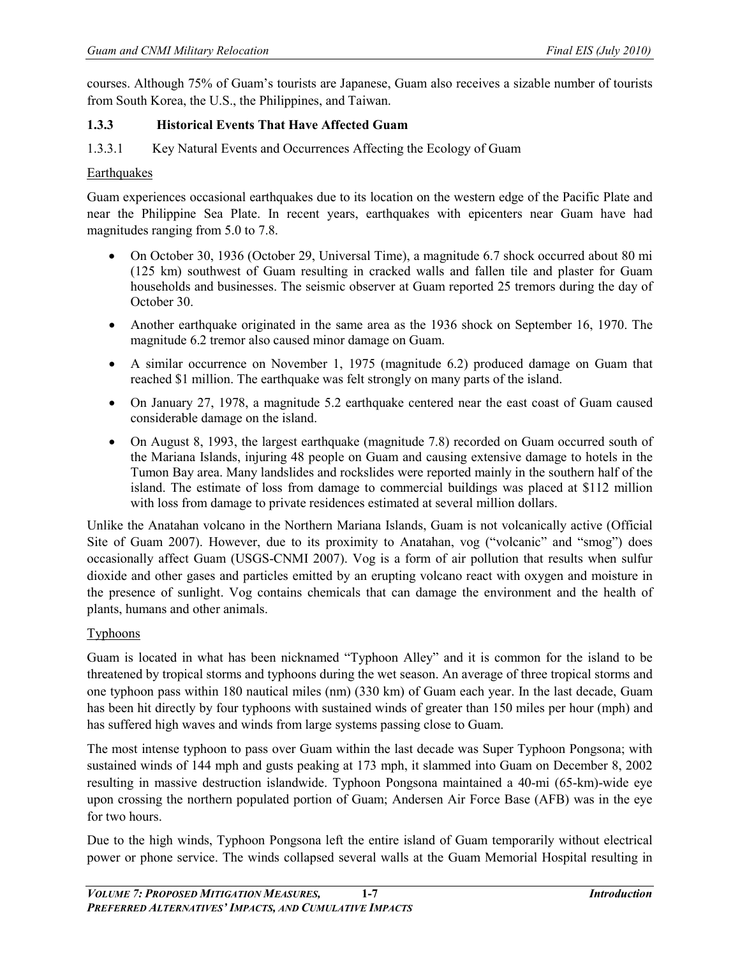courses. Although 75% of Guam's tourists are Japanese, Guam also receives a sizable number of tourists from South Korea, the U.S., the Philippines, and [Taiwan.](http://en.wikipedia.org/wiki/Taiwan)

# **1.3.3 Historical Events That Have Affected Guam**

1.3.3.1 Key Natural Events and Occurrences Affecting the Ecology of Guam

## **Earthquakes**

Guam experiences occasional [earthquakes](http://en.wikipedia.org/wiki/Earthquake) due to its location on the western edge of the [Pacific Plate](http://en.wikipedia.org/wiki/Pacific_Plate) and near the [Philippine Sea Plate.](http://en.wikipedia.org/wiki/Philippine_Sea_Plate) In recent years, earthquakes with epicenters near Guam have had magnitudes ranging from 5.0 to 7.8.

- On October 30, 1936 (October 29, Universal Time), a magnitude 6.7 shock occurred about 80 mi (125 km) southwest of Guam resulting in cracked walls and fallen tile and plaster for Guam households and businesses. The seismic observer at Guam reported 25 tremors during the day of October 30.
- Another earthquake originated in the same area as the 1936 shock on September 16, 1970. The magnitude 6.2 tremor also caused minor damage on Guam.
- A similar occurrence on November 1, 1975 (magnitude 6.2) produced damage on Guam that reached \$1 million. The earthquake was felt strongly on many parts of the island.
- On January 27, 1978, a magnitude 5.2 earthquake centered near the east coast of Guam caused considerable damage on the island.
- On August 8, 1993, the largest earthquake (magnitude 7.8) recorded on Guam occurred south of the Mariana Islands, injuring 48 people on Guam and causing extensive damage to hotels in the Tumon Bay area. Many landslides and rockslides were reported mainly in the southern half of the island. The estimate of loss from damage to commercial buildings was placed at \$112 million with loss from damage to private residences estimated at several million dollars.

Unlike the [Anatahan](http://en.wikipedia.org/wiki/Anatahan) [volcano](http://en.wikipedia.org/wiki/Volcano) in the [Northern Mariana Islands,](http://en.wikipedia.org/wiki/Northern_Mariana_Islands) Guam is not volcanically active (Official Site of Guam 2007). However, due to its proximity to Anatahan, [vog](http://en.wikipedia.org/wiki/Vog) ("volcanic" and "smog") does occasionally affect Guam (USGS-CNMI 2007). Vog is a form of air pollution that results when sulfur dioxide and other gases and particles emitted by an erupting volcano react with oxygen and moisture in the presence of sunlight. Vog contains chemicals that can damage the environment and the health of plants, humans and other animals.

## **Typhoons**

Guam is located in what has been nicknamed "Typhoon Alley" and it is common for the island to be threatened by tropical storms and typhoons during the wet season. An average of three tropical storms and one typhoon pass within 180 nautical miles (nm) (330 km) of Guam each year. In the last decade, Guam has been hit directly by four typhoons with sustained winds of greater than 150 miles per hour (mph) and has suffered high waves and winds from large systems passing close to Guam.

The most intense typhoon to pass over Guam within the last decade was [Super Typhoon Pongsona;](http://en.wikipedia.org/wiki/Typhoon_Pongsona) with sustained winds of 144 mph and gusts peaking at 173 mph, it slammed into Guam on December 8, 2002 resulting in massive destruction islandwide. Typhoon Pongsona maintained a 40-mi (65-km)-wide [eye](http://en.wikipedia.org/wiki/Eye_(cyclone)) upon crossing the northern populated portion of [Guam;](http://en.wikipedia.org/wiki/Guam) [Andersen Air Force Base](http://en.wikipedia.org/wiki/Andersen_Air_Force_Base) (AFB) was in the eye for two hours.

Due to the high winds, Typhoon Pongsona left the entire island of Guam temporarily without electrical power or phone service. The winds collapsed several walls at the Guam Memorial Hospital resulting in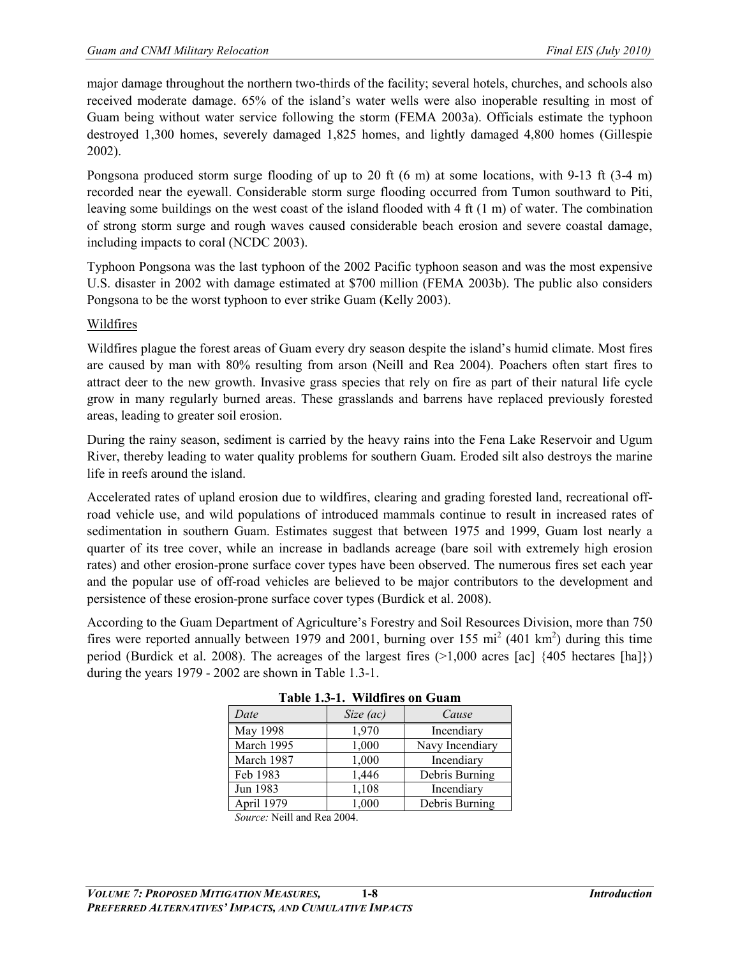major damage throughout the northern two-thirds of the facility; several hotels, churches, and schools also received moderate damage. 65% of the island's water wells were also inoperable resulting in most of Guam being without water service following the storm (FEMA 2003a). Officials estimate the typhoon destroyed 1,300 homes, severely damaged 1,825 homes, and lightly damaged 4,800 homes (Gillespie 2002).

Pongsona produced [storm surge](http://en.wikipedia.org/wiki/Storm_surge) flooding of up to 20 ft (6 m) at some locations, with 9-13 ft (3-4 m) recorded near the eyewall. Considerable storm surge flooding occurred from [Tumon](http://en.wikipedia.org/wiki/Tumon) southward to [Piti,](http://en.wikipedia.org/wiki/Piti,_Guam)  leaving some buildings on the west coast of the island flooded with 4 ft (1 m) of water. The combination of strong storm surge and rough waves caused considerable beach erosion and severe coastal damage, including impacts to coral (NCDC 2003).

Typhoon Pongsona was the last [typhoon](http://en.wikipedia.org/wiki/Tropical_cyclone) of the [2002 Pacific typhoon season](http://en.wikipedia.org/wiki/2002_Pacific_typhoon_season) and was the most expensive U.S. disaster in 2002 with damage estimated at \$700 million (FEMA 2003b). The public also considers Pongsona to be the worst typhoon to ever strike Guam (Kelly 2003).

# Wildfires

[Wildfires](http://en.wikipedia.org/wiki/Wildfire) plague the forest areas of Guam every [dry season](http://en.wikipedia.org/wiki/Dry_season) despite the island's humid climate. Most fires are caused by man with 80% resulting from [arson](http://en.wikipedia.org/wiki/Arson) (Neill and Rea 2004). [Poachers](http://en.wikipedia.org/wiki/Poaching) often start fires to attract deer to the new growth. Invasive grass species that rely on fire as part of their natural life cycle grow in many regularly burned areas. These [grasslands](http://en.wikipedia.org/wiki/Grassland) and barrens have replaced previously forested areas, leading to greater soil [erosion.](http://en.wikipedia.org/wiki/Erosion)

During the [rainy season,](http://en.wikipedia.org/wiki/Rainy_season) sediment is carried by the heavy rains into the [Fena Lake](http://en.wikipedia.org/wiki/Fena_Lake) Reservoir and [Ugum](http://en.wikipedia.org/wiki/Ugum_River)  [River,](http://en.wikipedia.org/wiki/Ugum_River) thereby leading to water quality problems for southern Guam. Eroded silt also destroys the marine life in reefs around the island.

Accelerated rates of upland erosion due to wildfires, clearing and grading forested land, recreational offroad vehicle use, and wild populations of introduced mammals continue to result in increased rates of sedimentation in southern Guam. Estimates suggest that between 1975 and 1999, Guam lost nearly a quarter of its tree cover, while an increase in badlands acreage (bare soil with extremely high erosion rates) and other erosion-prone surface cover types have been observed. The numerous fires set each year and the popular use of off-road vehicles are believed to be major contributors to the development and persistence of these erosion-prone surface cover types (Burdick et al. 2008).

According to the Guam Department of Agriculture's Forestry and Soil Resources Division, more than 750 fires were reported annually between 1979 and 2001, burning over 155 mi<sup>2</sup> (401 km<sup>2</sup>) during this time period (Burdick et al. 2008). The acreages of the largest fires (>1,000 acres [ac] {405 hectares [ha]}) during the years 1979 - 2002 are shown in Table 1.3-1.

| тарк 1.9-1. — утниш су он стиаш |           |                 |  |  |  |
|---------------------------------|-----------|-----------------|--|--|--|
| Date                            | Size (ac) | Cause           |  |  |  |
| May 1998                        | 1,970     | Incendiary      |  |  |  |
| March 1995                      | 1,000     | Navy Incendiary |  |  |  |
| March 1987                      | 1,000     | Incendiary      |  |  |  |
| Feb 1983                        | 1,446     | Debris Burning  |  |  |  |
| Jun 1983                        | 1,108     | Incendiary      |  |  |  |
| April 1979                      | 1,000     | Debris Burning  |  |  |  |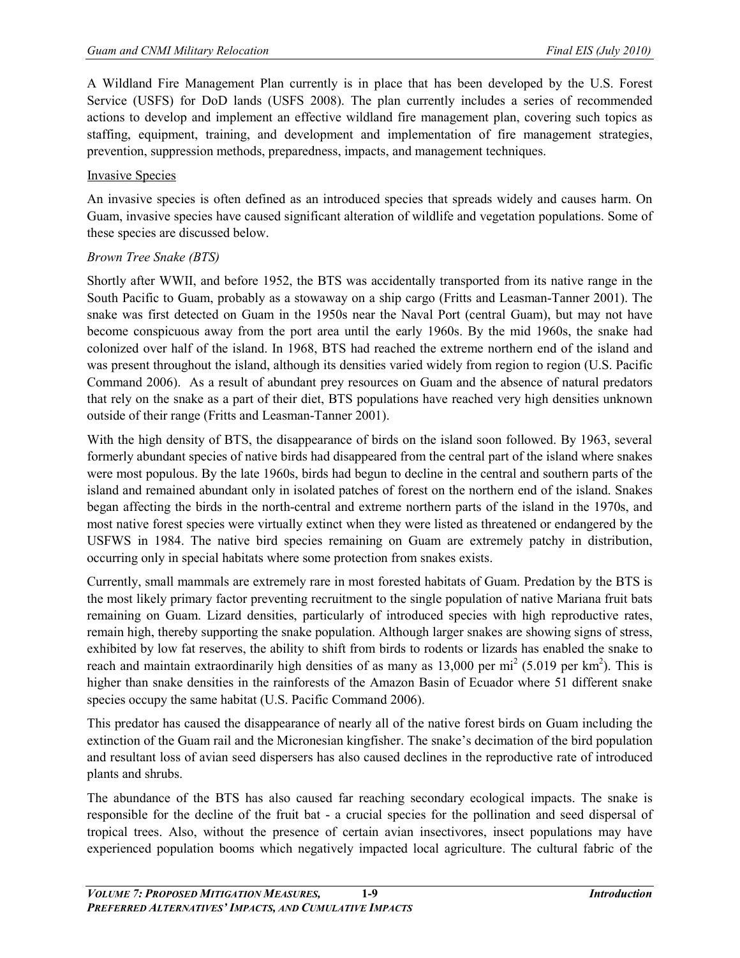A Wildland Fire Management Plan currently is in place that has been developed by the U.S. Forest Service (USFS) for DoD lands (USFS 2008). The plan currently includes a series of recommended actions to develop and implement an effective wildland fire management plan, covering such topics as staffing, equipment, training, and development and implementation of fire management strategies, prevention, suppression methods, preparedness, impacts, and management techniques.

#### Invasive Species

An invasive species is often defined as an introduced species that spreads widely and causes harm. On Guam, invasive species have caused significant alteration of wildlife and vegetation populations. Some of these species are discussed below.

#### *Brown Tree Snake (BTS)*

Shortly after [WWII,](http://en.wikipedia.org/wiki/World_War_II) and before 1952, the BTS was accidentally transported from its native range in the South Pacific to Guam, probably as a stowaway on a ship cargo (Fritts and Leasman-Tanner 2001). The snake was first detected on Guam in the 1950s near the Naval Port (central Guam), but may not have become conspicuous away from the port area until the early 1960s. By the mid 1960s, the snake had colonized over half of the island. In 1968, BTS had reached the extreme northern end of the island and was present throughout the island, although its densities varied widely from region to region (U.S. Pacific Command 2006). As a result of abundant prey resources on Guam and the absence of natural predators that rely on the snake as a part of their diet, BTS populations have reached very high densities unknown outside of their range (Fritts and Leasman-Tanner 2001).

With the high density of BTS, the disappearance of birds on the island soon followed. By 1963, several formerly abundant species of native birds had disappeared from the central part of the island where snakes were most populous. By the late 1960s, birds had begun to decline in the central and southern parts of the island and remained abundant only in isolated patches of forest on the northern end of the island. Snakes began affecting the birds in the north-central and extreme northern parts of the island in the 1970s, and most native forest species were virtually extinct when they were listed as threatened or endangered by the USFWS in 1984. The native bird species remaining on Guam are extremely patchy in distribution, occurring only in special habitats where some protection from snakes exists.

Currently, small mammals are extremely rare in most forested habitats of Guam. Predation by the BTS is the most likely primary factor preventing recruitment to the single population of native Mariana fruit bats remaining on Guam. Lizard densities, particularly of introduced species with high reproductive rates, remain high, thereby supporting the snake population. Although larger snakes are showing signs of stress, exhibited by low fat reserves, the ability to shift from birds to rodents or lizards has enabled the snake to reach and maintain extraordinarily high densities of as many as  $13,000$  per mi<sup>2</sup> (5.019 per km<sup>2</sup>). This is higher than snake densities in the rainforests of the Amazon Basin of Ecuador where 51 different snake species occupy the same habitat (U.S. Pacific Command 2006).

This predator has caused the disappearance of nearly all of the native forest birds on Guam including the extinction of the Guam rail and the Micronesian kingfisher. The snake's decimation of the bird population and resultant loss of avian seed dispersers has also caused declines in the reproductive rate of introduced plants and shrubs.

The abundance of the BTS has also caused far reaching secondary ecological impacts. The snake is responsible for the decline of the fruit bat - a crucial species for the pollination and seed dispersal of tropical trees. Also, without the presence of certain avian insectivores, insect populations may have experienced population booms which negatively impacted local agriculture. The cultural fabric of the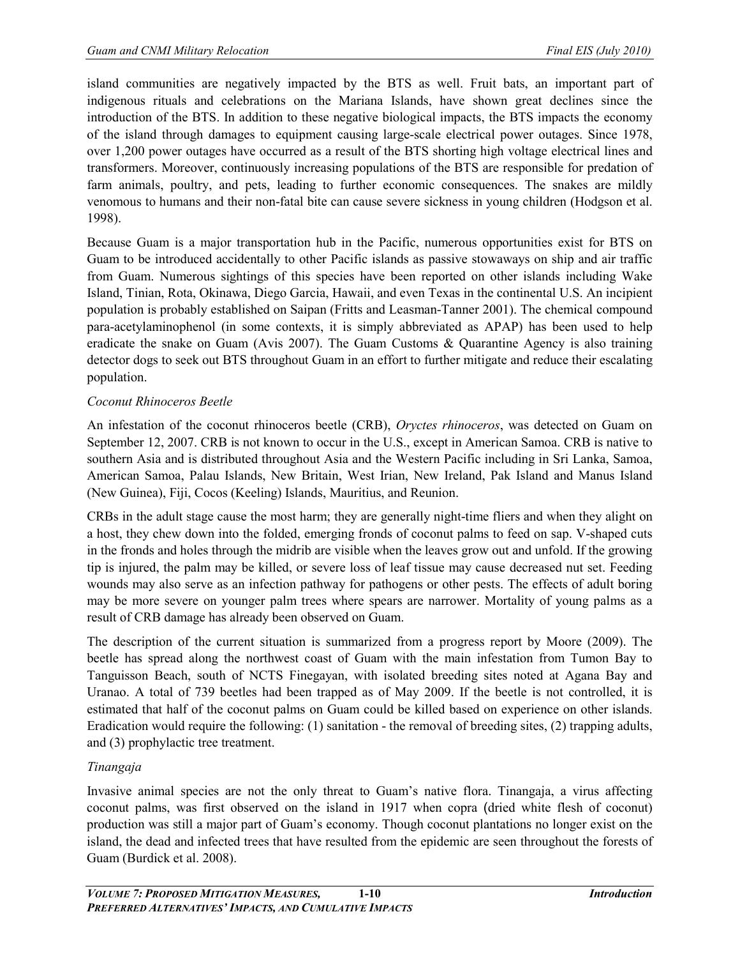island communities are negatively impacted by the BTS as well. Fruit bats, an important part of indigenous rituals and celebrations on the Mariana Islands, have shown great declines since the introduction of the BTS. In addition to these negative biological impacts, the BTS impacts the economy of the island through damages to equipment causing large-scale electrical power outages. Since 1978, over 1,200 power outages have occurred as a result of the BTS shorting high voltage electrical lines and transformers. Moreover, continuously increasing populations of the BTS are responsible for predation of farm animals, poultry, and pets, leading to further economic consequences. The snakes are mildly venomous to humans and their non-fatal bite can cause severe sickness in young children (Hodgson et al. 1998).

Because Guam is a major transportation hub in the Pacific, numerous opportunities exist for BTS on Guam to be introduced accidentally to other Pacific islands as passive stowaways on ship and air traffic from Guam. Numerous sightings of this species have been reported on other islands including [Wake](http://en.wikipedia.org/wiki/Wake_Island)  [Island,](http://en.wikipedia.org/wiki/Wake_Island) [Tinian,](http://en.wikipedia.org/wiki/Tinian) [Rota,](http://en.wikipedia.org/wiki/Rota) [Okinawa,](http://en.wikipedia.org/wiki/Okinawa) [Diego Garcia,](http://en.wikipedia.org/wiki/Diego_Garcia) [Hawaii,](http://en.wikipedia.org/wiki/Hawaii) and even [Texas](http://en.wikipedia.org/wiki/Texas) in the continental U.S. An incipient population is probably established on [Saipan](http://en.wikipedia.org/wiki/Saipan) (Fritts and Leasman-Tanner 2001). The chemical compound para-acetylaminophenol (in some contexts, it is simply abbreviated as APAP) has been used to help eradicate the snake on Guam (Avis 2007). The Guam Customs & Quarantine Agency is also training detector dogs to seek out BTS throughout Guam in an effort to further mitigate and reduce their escalating population.

# *Coconut Rhinoceros Beetle*

An infestation of the coconut rhinoceros beetle (CRB), *Oryctes rhinoceros*, was detected on Guam on September 12, 2007. CRB is not known to occur in the U.S., except in [American Samoa.](http://en.wikipedia.org/wiki/American_Samoa) CRB is native to southern Asia and is distributed throughout Asia and the Western Pacific including in Sri Lanka, Samoa, American Samoa, Palau Islands, New Britain, West Irian, New Ireland, Pak Island and Manus Island (New Guinea), Fiji, Cocos (Keeling) Islands, Mauritius, and Reunion.

CRBs in the adult stage cause the most harm; they are generally night-time fliers and when they alight on a host, they chew down into the folded, emerging fronds of coconut palms to feed on sap. V-shaped cuts in the fronds and holes through the midrib are visible when the leaves grow out and unfold. If the growing tip is injured, the palm may be killed, or severe loss of leaf tissue may cause decreased nut set. Feeding wounds may also serve as an infection pathway for pathogens or other pests. The effects of adult boring may be more severe on younger palm trees where spears are narrower. Mortality of young palms as a result of CRB damage has already been observed on Guam.

The description of the current situation is summarized from a progress report by Moore (2009). The beetle has spread along the northwest coast of Guam with the main infestation from Tumon Bay to Tanguisson Beach, south of NCTS Finegayan, with isolated breeding sites noted at Agana Bay and Uranao. A total of 739 beetles had been trapped as of May 2009. If the beetle is not controlled, it is estimated that half of the coconut palms on Guam could be killed based on experience on other islands. Eradication would require the following: (1) sanitation - the removal of breeding sites, (2) trapping adults, and (3) prophylactic tree treatment.

## *Tinangaja*

Invasive animal species are not the only threat to Guam's native flora. Tinangaja, a [virus](http://en.wikipedia.org/wiki/Plant_virus) affecting coconut palms, was first observed on the island in 1917 when [copra](http://en.wikipedia.org/wiki/Copra) (dried white flesh of coconut) production was still a major part of Guam's economy. Though coconut plantations no longer exist on the island, the dead and infected trees that have resulted from the epidemic are seen throughout the forests of Guam (Burdick et al. 2008).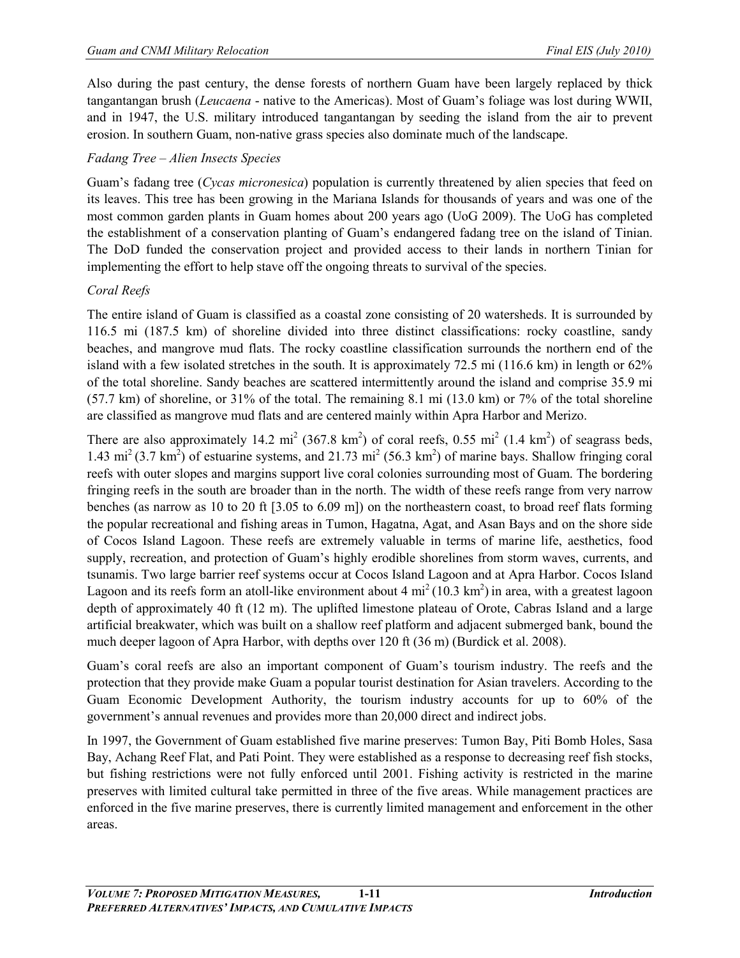Also during the past century, the dense forests of northern Guam have been largely replaced by thick tangantangan brush (*[Leucaena](http://en.wikipedia.org/wiki/Leucaena)* - native to the Americas). Most of Guam's foliage was lost during [WWII,](http://en.wikipedia.org/wiki/World_War_II) and in 1947, the U.S. military introduced tangantangan by seeding the island from the air to prevent [erosion.](http://en.wikipedia.org/wiki/Erosion) In southern Guam, non-native grass species also dominate much of the landscape.

# *Fadang Tree – Alien Insects Species*

Guam's fadang tree (*Cycas micronesica*) population is currently threatened by alien species that feed on its leaves. This tree has been growing in the Mariana Islands for thousands of years and was one of the most common garden plants in Guam homes about 200 years ago (UoG 2009). The UoG has completed the establishment of a conservation planting of Guam's endangered fadang tree on the island of Tinian. The DoD funded the conservation project and provided access to their lands in northern Tinian for implementing the effort to help stave off the ongoing threats to survival of the species.

# *Coral Reefs*

The entire island of Guam is classified as a coastal zone consisting of 20 watersheds. It is surrounded by 116.5 mi (187.5 km) of shoreline divided into three distinct classifications: rocky coastline, sandy beaches, and mangrove mud flats. The rocky coastline classification surrounds the northern end of the island with a few isolated stretches in the south. It is approximately 72.5 mi (116.6 km) in length or 62% of the total shoreline. Sandy beaches are scattered intermittently around the island and comprise 35.9 mi (57.7 km) of shoreline, or 31% of the total. The remaining 8.1 mi (13.0 km) or 7% of the total shoreline are classified as mangrove mud flats and are centered mainly within Apra Harbor and Merizo.

There are also approximately 14.2 mi<sup>2</sup> (367.8 km<sup>2</sup>) of coral reefs, 0.55 mi<sup>2</sup> (1.4 km<sup>2</sup>) of seagrass beds, 1.43 mi<sup>2</sup> (3.7 km<sup>2</sup>) of estuarine systems, and 21.73 mi<sup>2</sup> (56.3 km<sup>2</sup>) of marine bays. Shallow fringing coral reefs with outer slopes and margins support live coral colonies surrounding most of Guam. The bordering fringing reefs in the south are broader than in the north. The width of these reefs range from very narrow benches (as narrow as 10 to 20 ft [3.05 to 6.09 m]) on the northeastern coast, to broad reef flats forming the popular recreational and fishing areas in Tumon, Hagatna, Agat, and Asan Bays and on the shore side of Cocos Island Lagoon. These reefs are extremely valuable in terms of marine life, aesthetics, food supply, recreation, and protection of Guam's highly erodible shorelines from storm waves, currents, and tsunamis. Two large barrier reef systems occur at Cocos Island Lagoon and at Apra Harbor. Cocos Island Lagoon and its reefs form an atoll-like environment about  $4 \text{ mi}^2 (10.3 \text{ km}^2)$  in area, with a greatest lagoon depth of approximately 40 ft (12 m). The uplifted limestone plateau of Orote, Cabras Island and a large artificial breakwater, which was built on a shallow reef platform and adjacent submerged bank, bound the much deeper lagoon of Apra Harbor, with depths over 120 ft (36 m) (Burdick et al. 2008).

Guam's coral reefs are also an important component of Guam's tourism industry. The reefs and the protection that they provide make Guam a popular tourist destination for Asian travelers. According to the Guam Economic Development Authority, the tourism industry accounts for up to 60% of the government's annual revenues and provides more than 20,000 direct and indirect jobs.

In 1997, the Government of Guam established five marine preserves: Tumon Bay, Piti Bomb Holes, Sasa Bay, Achang Reef Flat, and Pati Point. They were established as a response to decreasing reef fish stocks, but fishing restrictions were not fully enforced until 2001. Fishing activity is restricted in the marine preserves with limited cultural take permitted in three of the five areas. While management practices are enforced in the five marine preserves, there is currently limited management and enforcement in the other areas.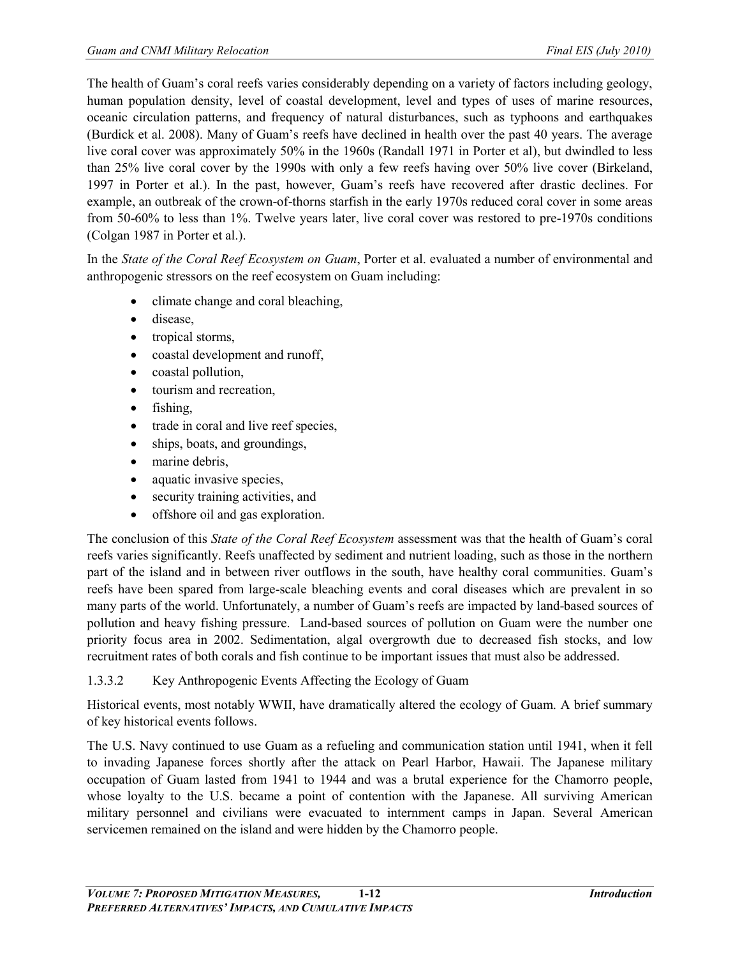The health of Guam's coral reefs varies considerably depending on a variety of factors including geology, human population density, level of coastal development, level and types of uses of marine resources, oceanic circulation patterns, and frequency of natural disturbances, such as typhoons and earthquakes (Burdick et al. 2008). Many of Guam's reefs have declined in health over the past 40 years. The average live coral cover was approximately 50% in the 1960s (Randall 1971 in Porter et al), but dwindled to less than 25% live coral cover by the 1990s with only a few reefs having over 50% live cover (Birkeland, 1997 in Porter et al.). In the past, however, Guam's reefs have recovered after drastic declines. For example, an outbreak of the crown-of-thorns starfish in the early 1970s reduced coral cover in some areas from 50-60% to less than 1%. Twelve years later, live coral cover was restored to pre-1970s conditions (Colgan 1987 in Porter et al.).

In the *State of the Coral Reef Ecosystem on Guam*, Porter et al. evaluated a number of environmental and anthropogenic stressors on the reef ecosystem on Guam including:

- climate change and coral bleaching,
- disease,
- tropical storms,
- coastal development and runoff,
- coastal pollution,
- tourism and recreation.
- fishing,
- trade in coral and live reef species,
- ships, boats, and groundings,
- marine debris,
- aquatic invasive species,
- security training activities, and
- offshore oil and gas exploration.

The conclusion of this *State of the Coral Reef Ecosystem* assessment was that the health of Guam's coral reefs varies significantly. Reefs unaffected by sediment and nutrient loading, such as those in the northern part of the island and in between river outflows in the south, have healthy coral communities. Guam's reefs have been spared from large-scale bleaching events and coral diseases which are prevalent in so many parts of the world. Unfortunately, a number of Guam's reefs are impacted by land-based sources of pollution and heavy fishing pressure. Land-based sources of pollution on Guam were the number one priority focus area in 2002. Sedimentation, algal overgrowth due to decreased fish stocks, and low recruitment rates of both corals and fish continue to be important issues that must also be addressed.

# 1.3.3.2 Key Anthropogenic Events Affecting the Ecology of Guam

Historical events, most notably WWII, have dramatically altered the ecology of Guam. A brief summary of key historical events follows.

The U.S. Navy continued to use Guam as a refueling and communication station until 1941, when it fell to invading Japanese forces shortly after the attack on Pearl Harbor, Hawaii. The Japanese [military](http://en.wikipedia.org/wiki/Military_occupation)  [occupation](http://en.wikipedia.org/wiki/Military_occupation) of Guam lasted from 1941 to 1944 and was a brutal experience for the Chamorro people, whose loyalty to the U.S. became a point of contention with the Japanese. All surviving American military personnel and civilians were evacuated to internment camps in Japan. Several American servicemen remained on the island and were hidden by the Chamorro people.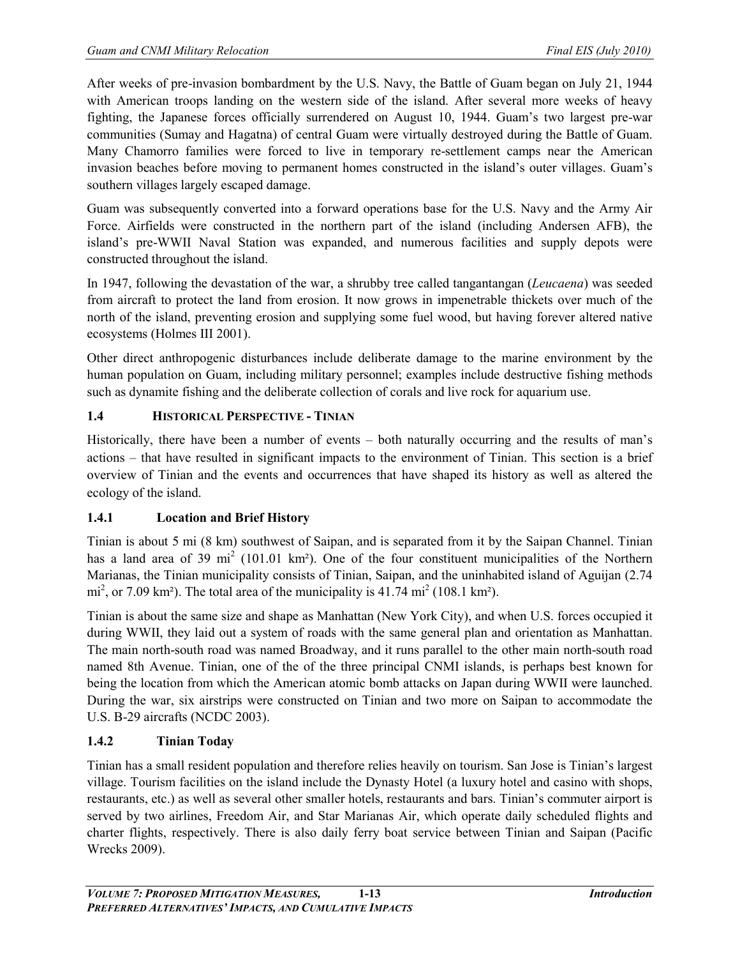After weeks of pre-invasion bombardment by the U.S. Navy, the [Battle of Guam](http://en.wikipedia.org/wiki/Battle_of_Guam_(1944)) began on [July 21,](http://en.wikipedia.org/wiki/July_21) [1944](http://en.wikipedia.org/wiki/1944) with American troops landing on the western side of the island. After several more weeks of heavy fighting, the Japanese forces officially surrendered on [August 10,](http://en.wikipedia.org/wiki/August_10) [1944.](http://en.wikipedia.org/wiki/1944) Guam's two largest pre-war communities (Sumay and [Hagatna\)](http://en.wikipedia.org/wiki/Hagatna) of central Guam were virtually destroyed during the [Battle of Guam.](http://en.wikipedia.org/wiki/Battle_of_Guam_(1944)) Many Chamorro families were forced to live in temporary re-settlement camps near the American invasion beaches before moving to permanent homes constructed in the island's outer villages. Guam's southern villages largely escaped damage.

Guam was subsequently converted into a forward operations base for the U.S. Navy and the Army Air Force. Airfields were constructed in the northern part of the island (including [Andersen AFB\)](http://en.wikipedia.org/wiki/Anderson_Air_Force_Base), the island's pre-WWII [Naval Station](http://en.wikipedia.org/wiki/Naval_Base_Guam) was expanded, and numerous facilities and supply depots were constructed throughout the island.

In 1947, following the devastation of the war, a shrubby tree called tangantangan (*Leucaena*) was seeded from aircraft to protect the land from erosion. It now grows in impenetrable thickets over much of the north of the island, preventing erosion and supplying some fuel wood, but having forever altered native ecosystems (Holmes III 2001).

Other direct anthropogenic disturbances include deliberate damage to the marine environment by the human population on Guam, including military personnel; examples include destructive fishing methods such as dynamite fishing and the deliberate collection of corals and live rock for aquarium use.

# **1.4 HISTORICAL PERSPECTIVE - TINIAN**

Historically, there have been a number of events – both naturally occurring and the results of man's actions – that have resulted in significant impacts to the environment of Tinian. This section is a brief overview of Tinian and the events and occurrences that have shaped its history as well as altered the ecology of the island.

# **1.4.1 Location and Brief History**

Tinian is about 5 mi (8 km) southwest of [Saipan,](http://en.wikipedia.org/wiki/Saipan) and is separated from it by the [Saipan Channel.](http://en.wikipedia.org/wiki/Saipan_Channel) Tinian has a land area of 39 mi<sup>2</sup> (101.01 km<sup>2</sup>). One of the four constituent [municipalities](http://en.wikipedia.org/wiki/Municipalities) of the Northern Marianas, the Tinian municipality consists of Tinian, Saipan, and the uninhabited island of [Aguijan](http://en.wikipedia.org/wiki/Aguijan) (2.74 mi<sup>2</sup>, or 7.09 km<sup>2</sup>). The total area of the municipality is 41.74 mi<sup>2</sup> (108.1 km<sup>2</sup>).

Tinian is about the same size and shape as Manhattan (New York City), and when U.S. forces occupied it during WWII, they laid out a system of roads with the same general plan and orientation as Manhattan. The main north-south road was named Broadway, and it runs parallel to the other main north-south road named 8th Avenue. Tinian, one of the of the three principal CNMI islands, is perhaps best known for being the location from which the American atomic bomb attacks on Japan during WWII were launched. During the war, six airstrips were constructed on Tinian and two more on Saipan to accommodate the U.S. B-29 aircrafts (NCDC 2003).

# **1.4.2 Tinian Today**

Tinian has a small resident population and therefore relies heavily on tourism. [San Jose](http://en.wikipedia.org/wiki/San_Jose,_Northern_Mariana_Islands) is Tinian's largest village. Tourism facilities on the island include the Dynasty Hotel (a luxury hotel and casino with shops, restaurants, etc.) as well as several other smaller hotels, restaurants and bars. Tinian's commuter airport is served by two airlines, [Freedom Air,](http://en.wikipedia.org/wiki/Freedom_Air_(Guam)) and Star Marianas Air, which operate daily scheduled flights and charter flights, respectively. There is also daily ferry boat service between Tinian and [Saipan](http://en.wikipedia.org/wiki/Saipan) (Pacific Wrecks 2009).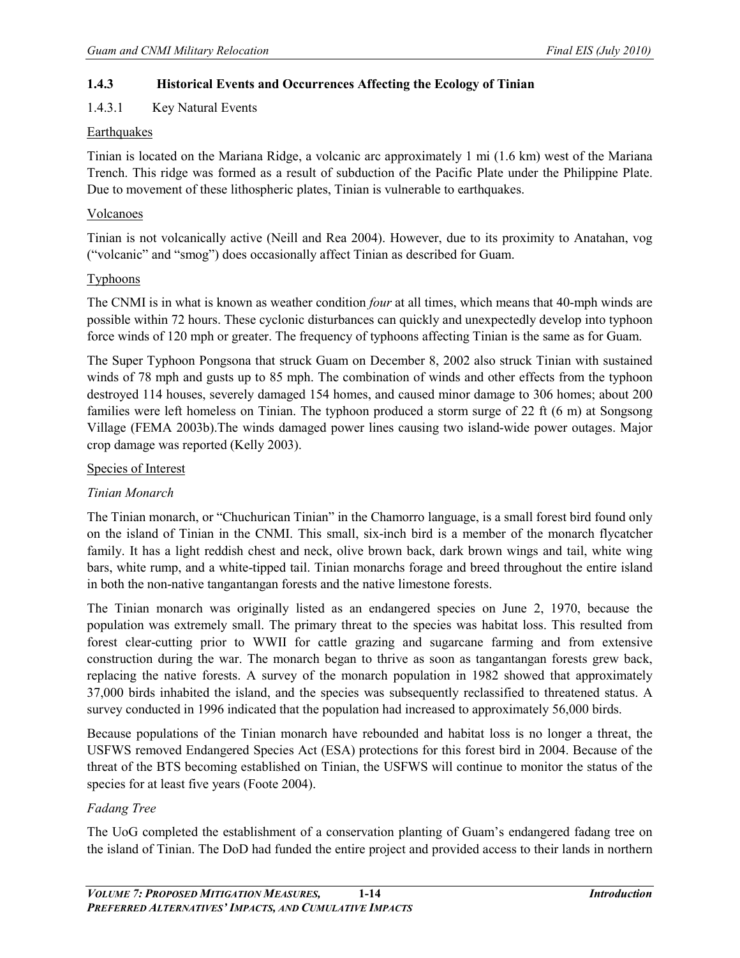# **1.4.3 Historical Events and Occurrences Affecting the Ecology of Tinian**

## 1.4.3.1 Key Natural Events

#### **Earthquakes**

Tinian is located on the Mariana Ridge, a volcanic arc approximately 1 mi (1.6 km) west of the Mariana Trench. This ridge was formed as a result of subduction of the Pacific Plate under the Philippine Plate. Due to movement of these lithospheric plates, Tinian is vulnerable to earthquakes.

#### Volcanoes

Tinian is not volcanically active (Neill and Rea 2004). However, due to its proximity to Anatahan, [vog](http://en.wikipedia.org/wiki/Vog) ("volcanic" and "smog") does occasionally affect Tinian as described for Guam.

#### **Typhoons**

The CNMI is in what is known as weather condition *four* at all times, which means that 40-mph winds are possible within 72 hours. These cyclonic disturbances can quickly and unexpectedly develop into typhoon force winds of 120 mph or greater. The frequency of typhoons affecting Tinian is the same as for Guam.

The Super Typhoon Pongsona that struck Guam on December 8, 2002 also struck Tinian with sustained winds of 78 mph and gusts up to 85 mph. The combination of winds and other effects from the typhoon destroyed 114 houses, severely damaged 154 homes, and caused minor damage to 306 homes; about 200 families were left homeless on Tinian. The typhoon produced a [storm surge](http://en.wikipedia.org/wiki/Storm_surge) of 22 ft (6 m) at [Songsong](http://en.wikipedia.org/wiki/Songsong)  [Village](http://en.wikipedia.org/wiki/Songsong) (FEMA 2003b).The winds damaged power lines causing two island-wide power outages. Major crop damage was reported (Kelly 2003).

#### Species of Interest

## *Tinian Monarch*

The Tinian monarch, or "Chuchurican Tinian" in the Chamorro language, is a small forest bird found only on the island of Tinian in the CNMI. This small, six-inch bird is a member of the monarch flycatcher family. It has a light reddish chest and neck, olive brown back, dark brown wings and tail, white wing bars, white rump, and a white-tipped tail. Tinian monarchs forage and breed throughout the entire island in both the non-native tangantangan forests and the native limestone forests.

The Tinian monarch was originally listed as an endangered species on June 2, 1970, because the population was extremely small. The primary threat to the species was habitat loss. This resulted from forest clear-cutting prior to WWII for cattle grazing and sugarcane farming and from extensive construction during the war. The monarch began to thrive as soon as tangantangan forests grew back, replacing the native forests. A survey of the monarch population in 1982 showed that approximately 37,000 birds inhabited the island, and the species was subsequently reclassified to threatened status. A survey conducted in 1996 indicated that the population had increased to approximately 56,000 birds.

Because populations of the Tinian monarch have rebounded and habitat loss is no longer a threat, the USFWS removed Endangered Species Act (ESA) protections for this forest bird in 2004. Because of the threat of the BTS becoming established on Tinian, the USFWS will continue to monitor the status of the species for at least five years (Foote 2004).

## *Fadang Tree*

The UoG completed the establishment of a conservation planting of Guam's endangered fadang tree on the island of Tinian. The DoD had funded the entire project and provided access to their lands in northern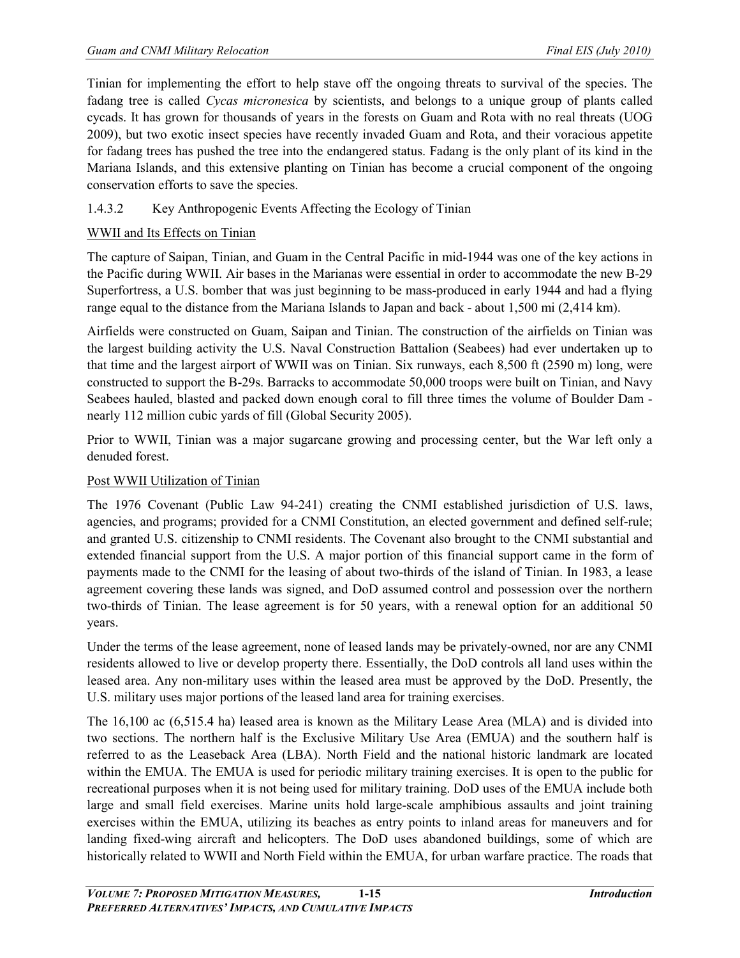Tinian for implementing the effort to help stave off the ongoing threats to survival of the species. The fadang tree is called *Cycas micronesica* by scientists, and belongs to a unique group of plants called cycads. It has grown for thousands of years in the forests on Guam and Rota with no real threats (UOG 2009), but two exotic insect species have recently invaded Guam and Rota, and their voracious appetite for fadang [trees](http://www.physorg.com/tags/trees/) has pushed the tree into the endangered status. Fadang is the only plant of its kind in the Mariana Islands, and this extensive planting on Tinian has become a crucial component of the ongoing [conservation](http://www.physorg.com/tags/conservation/) efforts to save the species.

# 1.4.3.2 Key Anthropogenic Events Affecting the Ecology of Tinian

# WWII and Its Effects on Tinian

The capture of Saipan, Tinian, and Guam in the Central Pacific in mid-1944 was one of the key actions in the Pacific during WWII. Air bases in the Marianas were essential in order to accommodate the new B-29 Superfortress, a U.S. bomber that was just beginning to be mass-produced in early 1944 and had a flying range equal to the distance from the Mariana Islands to Japan and back - about 1,500 mi (2,414 km).

Airfields were constructed on Guam, Saipan and Tinian. The construction of the airfields on Tinian was the largest building activity the U.S. Naval Construction Battalion (Seabees) had ever undertaken up to that time and the largest airport of WWII was on Tinian. Six runways, each 8,500 ft (2590 m) long, were constructed to support the B-29s. Barracks to accommodate 50,000 troops were built on Tinian, and Navy Seabees hauled, blasted and packed down enough coral to fill three times the volume of Boulder Dam nearly 112 million cubic yards of fill (Global Security 2005).

Prior to WWII, Tinian was a major sugarcane growing and processing center, but the War left only a denuded forest.

## Post WWII Utilization of Tinian

The 1976 Covenant (Public Law 94-241) creating the CNMI established jurisdiction of U.S. laws, agencies, and programs; provided for a CNMI Constitution, an elected government and defined self-rule; and granted U.S. citizenship to CNMI residents. The Covenant also brought to the CNMI substantial and extended financial support from the U.S. A major portion of this financial support came in the form of payments made to the CNMI for the leasing of about two-thirds of the island of Tinian. In 1983, a lease agreement covering these lands was signed, and DoD assumed control and possession over the northern two-thirds of Tinian. The lease agreement is for 50 years, with a renewal option for an additional 50 years.

Under the terms of the lease agreement, none of leased lands may be privately-owned, nor are any CNMI residents allowed to live or develop property there. Essentially, the DoD controls all land uses within the leased area. Any non-military uses within the leased area must be approved by the DoD. Presently, the U.S. military uses major portions of the leased land area for training exercises.

The 16,100 ac (6,515.4 ha) leased area is known as the Military Lease Area (MLA) and is divided into two sections. The northern half is the Exclusive Military Use Area (EMUA) and the southern half is referred to as the Leaseback Area (LBA). North Field and the national historic landmark are located within the EMUA. The EMUA is used for periodic military training exercises. It is open to the public for recreational purposes when it is not being used for military training. DoD uses of the EMUA include both large and small field exercises. Marine units hold large-scale amphibious assaults and joint training exercises within the EMUA, utilizing its beaches as entry points to inland areas for maneuvers and for landing fixed-wing aircraft and helicopters. The DoD uses abandoned buildings, some of which are historically related to WWII and North Field within the EMUA, for urban warfare practice. The roads that